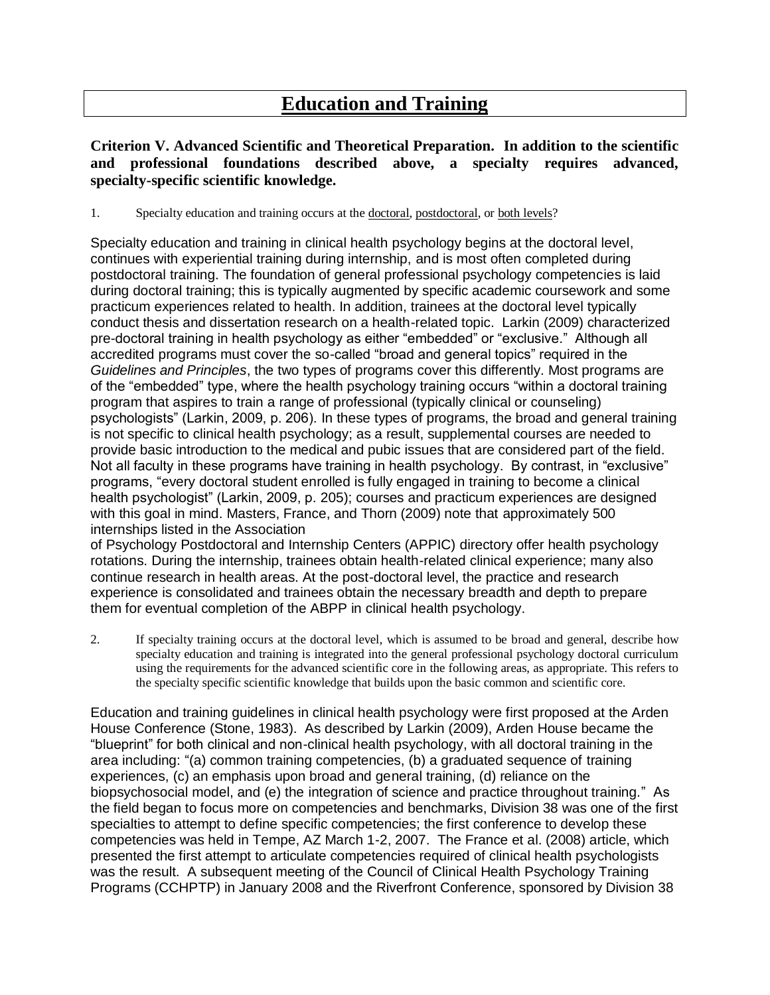## **Education and Training**

## **Criterion V. Advanced Scientific and Theoretical Preparation. In addition to the scientific and professional foundations described above, a specialty requires advanced, specialty-specific scientific knowledge.**

1. Specialty education and training occurs at the doctoral, postdoctoral, or both levels?

Specialty education and training in clinical health psychology begins at the doctoral level, continues with experiential training during internship, and is most often completed during postdoctoral training. The foundation of general professional psychology competencies is laid during doctoral training; this is typically augmented by specific academic coursework and some practicum experiences related to health. In addition, trainees at the doctoral level typically conduct thesis and dissertation research on a health-related topic. Larkin (2009) characterized pre-doctoral training in health psychology as either "embedded" or "exclusive." Although all accredited programs must cover the so-called "broad and general topics" required in the *Guidelines and Principles*, the two types of programs cover this differently. Most programs are of the "embedded" type, where the health psychology training occurs "within a doctoral training program that aspires to train a range of professional (typically clinical or counseling) psychologists" (Larkin, 2009, p. 206). In these types of programs, the broad and general training is not specific to clinical health psychology; as a result, supplemental courses are needed to provide basic introduction to the medical and pubic issues that are considered part of the field. Not all faculty in these programs have training in health psychology. By contrast, in "exclusive" programs, "every doctoral student enrolled is fully engaged in training to become a clinical health psychologist" (Larkin, 2009, p. 205); courses and practicum experiences are designed with this goal in mind. Masters, France, and Thorn (2009) note that approximately 500 internships listed in the Association

of Psychology Postdoctoral and Internship Centers (APPIC) directory offer health psychology rotations. During the internship, trainees obtain health-related clinical experience; many also continue research in health areas. At the post-doctoral level, the practice and research experience is consolidated and trainees obtain the necessary breadth and depth to prepare them for eventual completion of the ABPP in clinical health psychology.

2. If specialty training occurs at the doctoral level, which is assumed to be broad and general, describe how specialty education and training is integrated into the general professional psychology doctoral curriculum using the requirements for the advanced scientific core in the following areas, as appropriate. This refers to the specialty specific scientific knowledge that builds upon the basic common and scientific core.

Education and training guidelines in clinical health psychology were first proposed at the Arden House Conference (Stone, 1983). As described by Larkin (2009), Arden House became the "blueprint" for both clinical and non-clinical health psychology, with all doctoral training in the area including: "(a) common training competencies, (b) a graduated sequence of training experiences, (c) an emphasis upon broad and general training, (d) reliance on the biopsychosocial model, and (e) the integration of science and practice throughout training." As the field began to focus more on competencies and benchmarks, Division 38 was one of the first specialties to attempt to define specific competencies; the first conference to develop these competencies was held in Tempe, AZ March 1-2, 2007. The France et al. (2008) article, which presented the first attempt to articulate competencies required of clinical health psychologists was the result. A subsequent meeting of the Council of Clinical Health Psychology Training Programs (CCHPTP) in January 2008 and the Riverfront Conference, sponsored by Division 38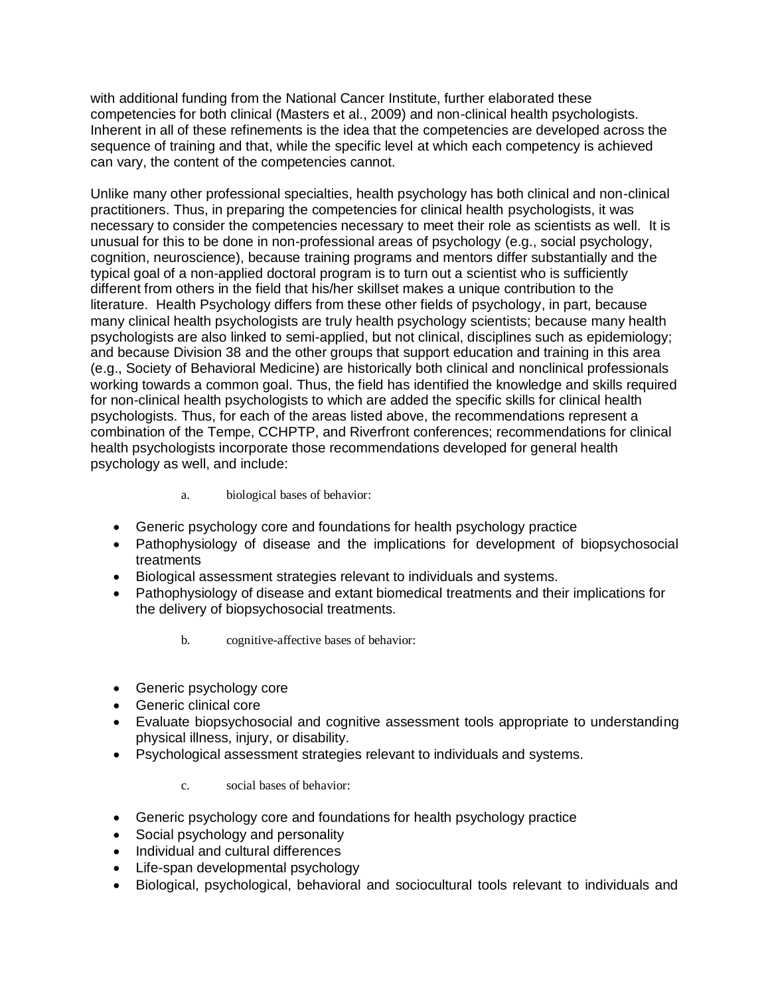with additional funding from the National Cancer Institute, further elaborated these competencies for both clinical (Masters et al., 2009) and non-clinical health psychologists. Inherent in all of these refinements is the idea that the competencies are developed across the sequence of training and that, while the specific level at which each competency is achieved can vary, the content of the competencies cannot.

Unlike many other professional specialties, health psychology has both clinical and non-clinical practitioners. Thus, in preparing the competencies for clinical health psychologists, it was necessary to consider the competencies necessary to meet their role as scientists as well. It is unusual for this to be done in non-professional areas of psychology (e.g., social psychology, cognition, neuroscience), because training programs and mentors differ substantially and the typical goal of a non-applied doctoral program is to turn out a scientist who is sufficiently different from others in the field that his/her skillset makes a unique contribution to the literature. Health Psychology differs from these other fields of psychology, in part, because many clinical health psychologists are truly health psychology scientists; because many health psychologists are also linked to semi-applied, but not clinical, disciplines such as epidemiology; and because Division 38 and the other groups that support education and training in this area (e.g., Society of Behavioral Medicine) are historically both clinical and nonclinical professionals working towards a common goal. Thus, the field has identified the knowledge and skills required for non-clinical health psychologists to which are added the specific skills for clinical health psychologists. Thus, for each of the areas listed above, the recommendations represent a combination of the Tempe, CCHPTP, and Riverfront conferences; recommendations for clinical health psychologists incorporate those recommendations developed for general health psychology as well, and include:

- a. biological bases of behavior:
- Generic psychology core and foundations for health psychology practice
- Pathophysiology of disease and the implications for development of biopsychosocial treatments
- Biological assessment strategies relevant to individuals and systems.
- Pathophysiology of disease and extant biomedical treatments and their implications for the delivery of biopsychosocial treatments.
	- b. cognitive-affective bases of behavior:
- Generic psychology core
- Generic clinical core
- Evaluate biopsychosocial and cognitive assessment tools appropriate to understanding physical illness, injury, or disability.
- Psychological assessment strategies relevant to individuals and systems.

c. social bases of behavior:

- Generic psychology core and foundations for health psychology practice
- Social psychology and personality
- Individual and cultural differences
- Life-span developmental psychology
- Biological, psychological, behavioral and sociocultural tools relevant to individuals and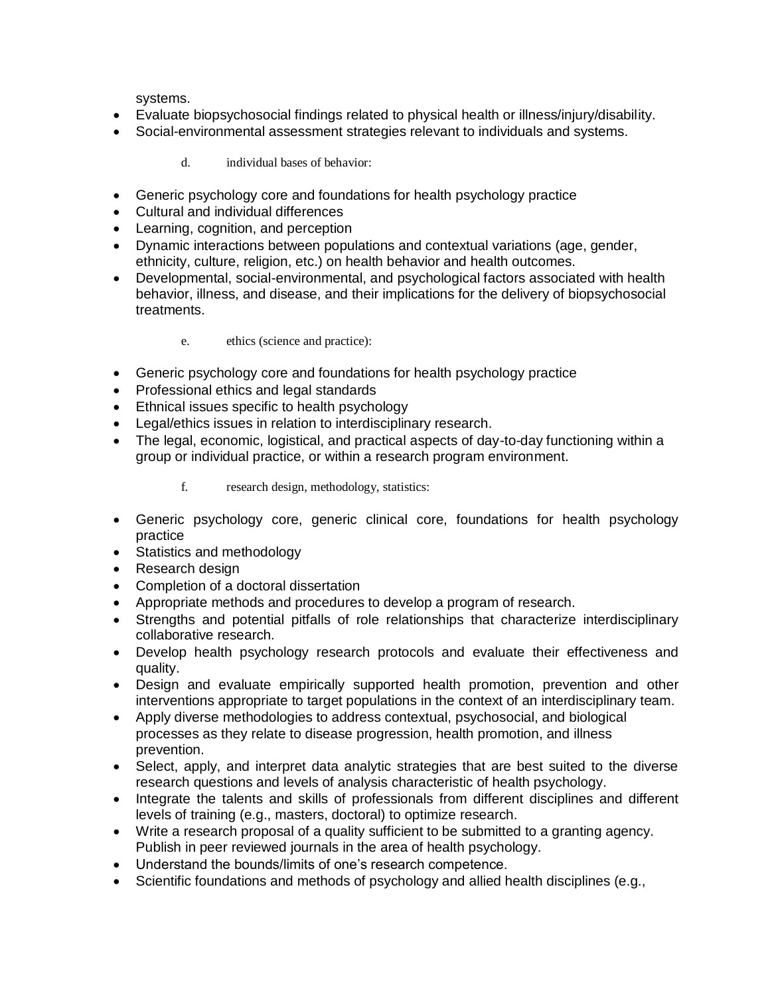systems.

- Evaluate biopsychosocial findings related to physical health or illness/injury/disability.
- Social-environmental assessment strategies relevant to individuals and systems.
	- d. individual bases of behavior:
- Generic psychology core and foundations for health psychology practice
- Cultural and individual differences
- Learning, cognition, and perception
- Dynamic interactions between populations and contextual variations (age, gender, ethnicity, culture, religion, etc.) on health behavior and health outcomes.
- Developmental, social-environmental, and psychological factors associated with health behavior, illness, and disease, and their implications for the delivery of biopsychosocial treatments.

## e. ethics (science and practice):

- Generic psychology core and foundations for health psychology practice
- Professional ethics and legal standards
- Ethnical issues specific to health psychology
- Legal/ethics issues in relation to interdisciplinary research*.*
- The legal, economic, logistical, and practical aspects of day-to-day functioning within a group or individual practice, or within a research program environment.
	- f. research design, methodology, statistics:
- Generic psychology core, generic clinical core, foundations for health psychology practice
- Statistics and methodology
- Research design
- Completion of a doctoral dissertation
- Appropriate methods and procedures to develop a program of research.
- Strengths and potential pitfalls of role relationships that characterize interdisciplinary collaborative research*.*
- Develop health psychology research protocols and evaluate their effectiveness and quality.
- Design and evaluate empirically supported health promotion, prevention and other interventions appropriate to target populations in the context of an interdisciplinary team.
- Apply diverse methodologies to address contextual, psychosocial, and biological processes as they relate to disease progression, health promotion, and illness prevention.
- Select, apply, and interpret data analytic strategies that are best suited to the diverse research questions and levels of analysis characteristic of health psychology.
- Integrate the talents and skills of professionals from different disciplines and different levels of training (e.g., masters, doctoral) to optimize research.
- Write a research proposal of a quality sufficient to be submitted to a granting agency. Publish in peer reviewed journals in the area of health psychology.
- Understand the bounds/limits of one's research competence.
- Scientific foundations and methods of psychology and allied health disciplines (e.g.,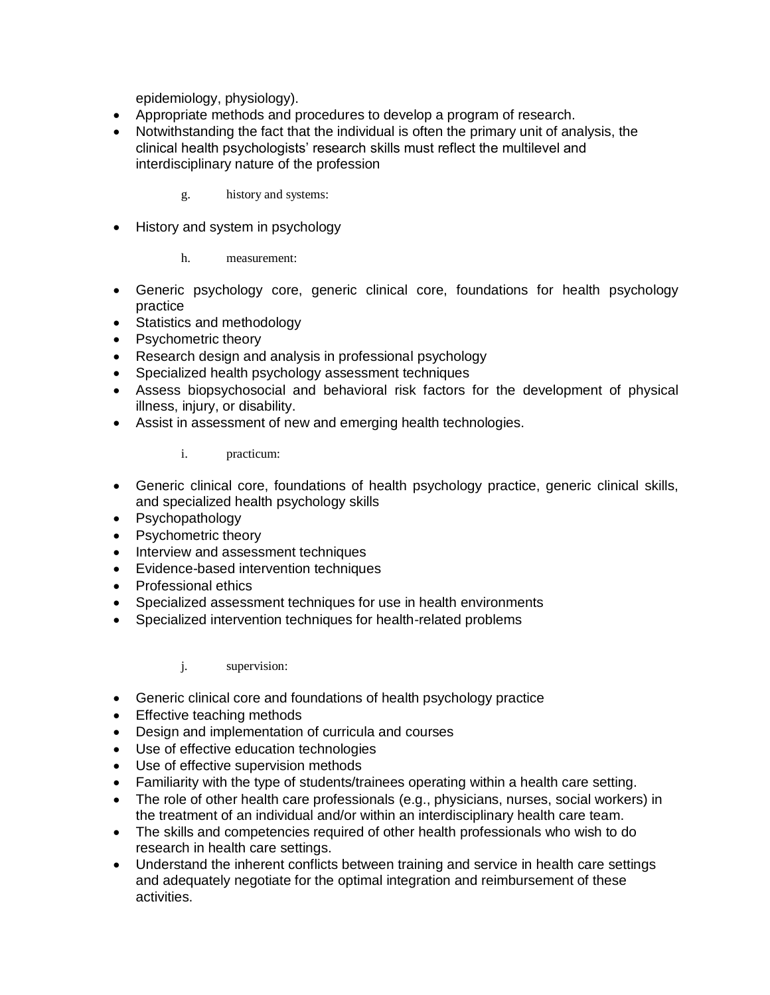epidemiology, physiology).

- Appropriate methods and procedures to develop a program of research.
- Notwithstanding the fact that the individual is often the primary unit of analysis, the clinical health psychologists' research skills must reflect the multilevel and interdisciplinary nature of the profession

g. history and systems:

• History and system in psychology

h. measurement:

- Generic psychology core, generic clinical core, foundations for health psychology practice
- Statistics and methodology
- Psychometric theory
- Research design and analysis in professional psychology
- Specialized health psychology assessment techniques
- Assess biopsychosocial and behavioral risk factors for the development of physical illness, injury, or disability.
- Assist in assessment of new and emerging health technologies.

i. practicum:

- Generic clinical core, foundations of health psychology practice, generic clinical skills, and specialized health psychology skills
- Psychopathology
- Psychometric theory
- Interview and assessment techniques
- Evidence-based intervention techniques
- Professional ethics
- Specialized assessment techniques for use in health environments
- Specialized intervention techniques for health-related problems

j. supervision:

- Generic clinical core and foundations of health psychology practice
- Effective teaching methods
- Design and implementation of curricula and courses
- Use of effective education technologies
- Use of effective supervision methods
- Familiarity with the type of students/trainees operating within a health care setting.
- The role of other health care professionals (e.g., physicians, nurses, social workers) in the treatment of an individual and/or within an interdisciplinary health care team.
- The skills and competencies required of other health professionals who wish to do research in health care settings.
- Understand the inherent conflicts between training and service in health care settings and adequately negotiate for the optimal integration and reimbursement of these activities.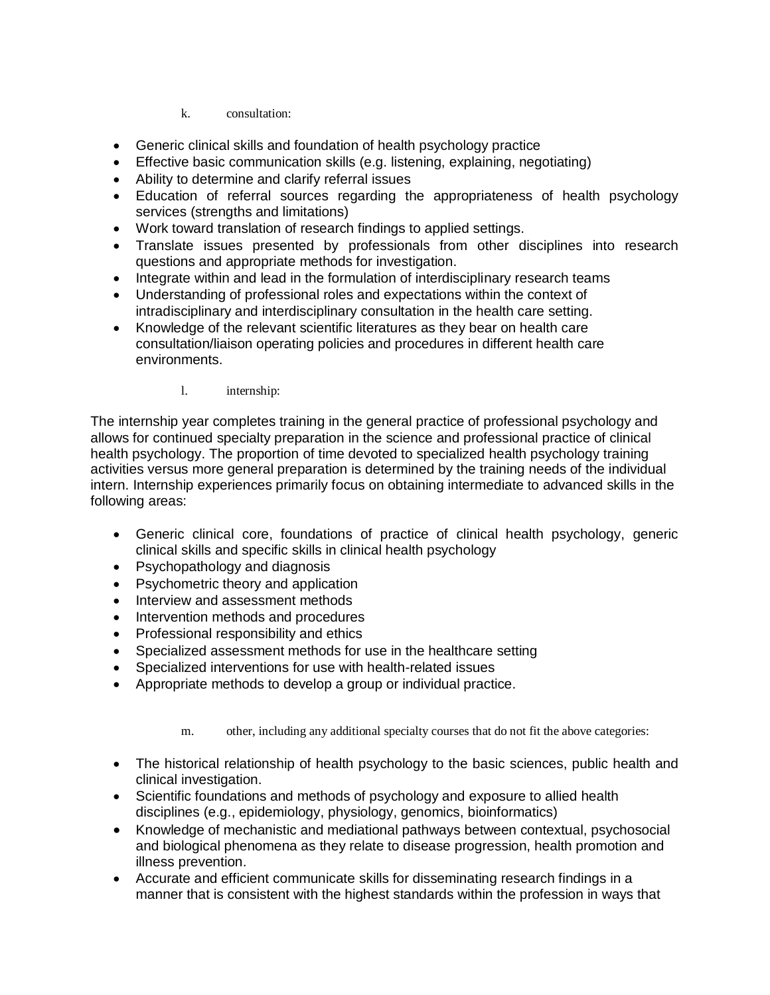k. consultation:

- Generic clinical skills and foundation of health psychology practice
- Effective basic communication skills (e.g. listening, explaining, negotiating)
- Ability to determine and clarify referral issues
- Education of referral sources regarding the appropriateness of health psychology services (strengths and limitations)
- Work toward translation of research findings to applied settings.
- Translate issues presented by professionals from other disciplines into research questions and appropriate methods for investigation.
- Integrate within and lead in the formulation of interdisciplinary research teams
- Understanding of professional roles and expectations within the context of intradisciplinary and interdisciplinary consultation in the health care setting.
- Knowledge of the relevant scientific literatures as they bear on health care consultation/liaison operating policies and procedures in different health care environments.
	- l. internship:

The internship year completes training in the general practice of professional psychology and allows for continued specialty preparation in the science and professional practice of clinical health psychology. The proportion of time devoted to specialized health psychology training activities versus more general preparation is determined by the training needs of the individual intern. Internship experiences primarily focus on obtaining intermediate to advanced skills in the following areas:

- Generic clinical core, foundations of practice of clinical health psychology, generic clinical skills and specific skills in clinical health psychology
- Psychopathology and diagnosis
- Psychometric theory and application
- Interview and assessment methods
- Intervention methods and procedures
- Professional responsibility and ethics
- Specialized assessment methods for use in the healthcare setting
- Specialized interventions for use with health-related issues
- Appropriate methods to develop a group or individual practice.

m. other, including any additional specialty courses that do not fit the above categories:

- The historical relationship of health psychology to the basic sciences, public health and clinical investigation.
- Scientific foundations and methods of psychology and exposure to allied health disciplines (e.g., epidemiology, physiology, genomics, bioinformatics)
- Knowledge of mechanistic and mediational pathways between contextual, psychosocial and biological phenomena as they relate to disease progression, health promotion and illness prevention.
- Accurate and efficient communicate skills for disseminating research findings in a manner that is consistent with the highest standards within the profession in ways that